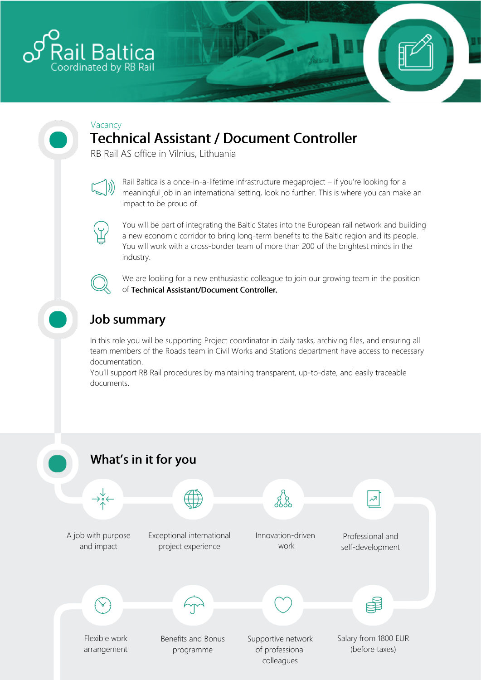

#### Vacancy **Technical Assistant / Document Controller**

RB Rail AS office in Vilnius, Lithuania



Rail Baltica is a once-in-a-lifetime infrastructure megaproject – if you're looking for a meaningful job in an international setting, look no further. This is where you can make an impact to be proud of.



You will be part of integrating the Baltic States into the European rail network and building a new economic corridor to bring long-term benefits to the Baltic region and its people. You will work with a cross-border team of more than 200 of the brightest minds in the industry.



We are looking for a new enthusiastic colleague to join our growing team in the position of Technical Assistant/Document Controller.

# **Job summary**

In this role you will be supporting Project coordinator in daily tasks, archiving files, and ensuring all team members of the Roads team in Civil Works and Stations department have access to necessary documentation.

You'll support RB Rail procedures by maintaining transparent, up-to-date, and easily traceable documents.